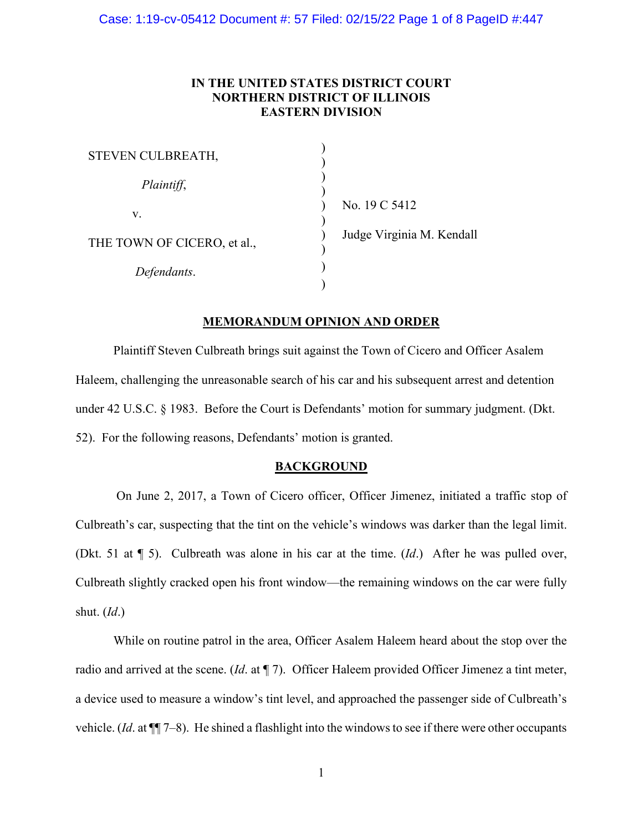# **IN THE UNITED STATES DISTRICT COURT NORTHERN DISTRICT OF ILLINOIS EASTERN DIVISION**

| STEVEN CULBREATH,           |  |
|-----------------------------|--|
| Plaintiff,                  |  |
| V.                          |  |
| THE TOWN OF CICERO, et al., |  |
| Defendants.                 |  |
|                             |  |

o. 19 C 5412  $\log$ e Virginia M. Kendall

# **MEMORANDUM OPINION AND ORDER**

Plaintiff Steven Culbreath brings suit against the Town of Cicero and Officer Asalem Haleem, challenging the unreasonable search of his car and his subsequent arrest and detention under 42 U.S.C. § 1983. Before the Court is Defendants' motion for summary judgment. (Dkt. 52). For the following reasons, Defendants' motion is granted.

### **BACKGROUND**

On June 2, 2017, a Town of Cicero officer, Officer Jimenez, initiated a traffic stop of Culbreath's car, suspecting that the tint on the vehicle's windows was darker than the legal limit. (Dkt. 51 at ¶ 5). Culbreath was alone in his car at the time. (*Id*.) After he was pulled over, Culbreath slightly cracked open his front window—the remaining windows on the car were fully shut. (*Id*.)

While on routine patrol in the area, Officer Asalem Haleem heard about the stop over the radio and arrived at the scene. (*Id*. at ¶ 7). Officer Haleem provided Officer Jimenez a tint meter, a device used to measure a window's tint level, and approached the passenger side of Culbreath's vehicle. (*Id*. at ¶¶ 7–8). He shined a flashlight into the windows to see if there were other occupants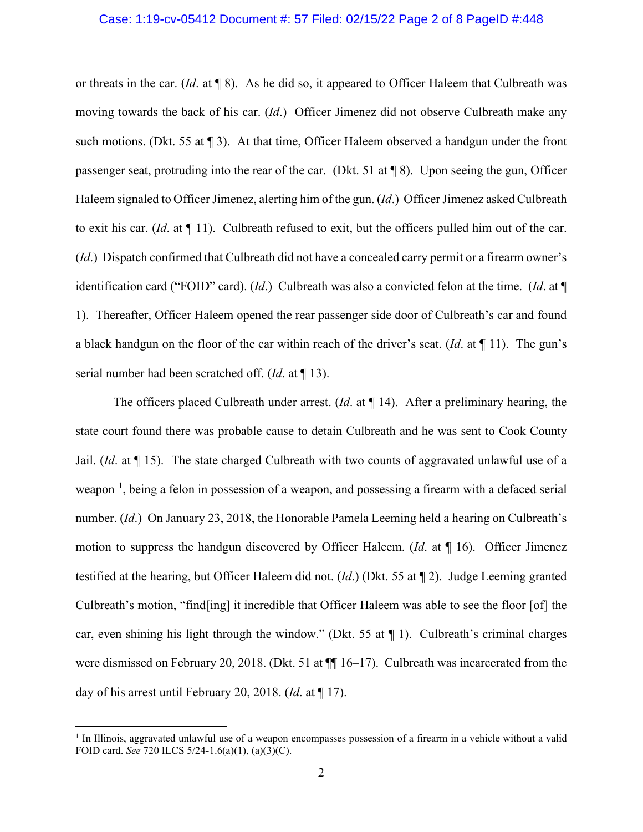### Case: 1:19-cv-05412 Document #: 57 Filed: 02/15/22 Page 2 of 8 PageID #:448

or threats in the car. (*Id*. at ¶ 8). As he did so, it appeared to Officer Haleem that Culbreath was moving towards the back of his car. (*Id*.) Officer Jimenez did not observe Culbreath make any such motions. (Dkt. 55 at  $\P$  3). At that time, Officer Haleem observed a handgun under the front passenger seat, protruding into the rear of the car. (Dkt. 51 at ¶ 8). Upon seeing the gun, Officer Haleem signaled to Officer Jimenez, alerting him of the gun. (*Id*.) Officer Jimenez asked Culbreath to exit his car. (*Id*. at ¶ 11). Culbreath refused to exit, but the officers pulled him out of the car. (*Id*.) Dispatch confirmed that Culbreath did not have a concealed carry permit or a firearm owner's identification card ("FOID" card). (*Id*.) Culbreath was also a convicted felon at the time. (*Id*. at ¶ 1).Thereafter, Officer Haleem opened the rear passenger side door of Culbreath's car and found a black handgun on the floor of the car within reach of the driver's seat. (*Id*. at ¶ 11). The gun's serial number had been scratched off. (*Id*. at ¶ 13).

The officers placed Culbreath under arrest. (*Id*. at ¶ 14). After a preliminary hearing, the state court found there was probable cause to detain Culbreath and he was sent to Cook County Jail. (*Id*. at ¶ 15). The state charged Culbreath with two counts of aggravated unlawful use of a weapon<sup>[1](#page-1-0)</sup>, being a felon in possession of a weapon, and possessing a firearm with a defaced serial number. (*Id*.) On January 23, 2018, the Honorable Pamela Leeming held a hearing on Culbreath's motion to suppress the handgun discovered by Officer Haleem. (*Id*. at ¶ 16). Officer Jimenez testified at the hearing, but Officer Haleem did not. (*Id*.) (Dkt. 55 at ¶ 2). Judge Leeming granted Culbreath's motion, "find[ing] it incredible that Officer Haleem was able to see the floor [of] the car, even shining his light through the window." (Dkt. 55 at ¶ 1). Culbreath's criminal charges were dismissed on February 20, 2018. (Dkt. 51 at  $\P$  16–17). Culbreath was incarcerated from the day of his arrest until February 20, 2018. (*Id*. at ¶ 17).

<span id="page-1-0"></span> $<sup>1</sup>$  In Illinois, aggravated unlawful use of a weapon encompasses possession of a firearm in a vehicle without a valid</sup> FOID card. *See* 720 ILCS 5/24-1.6(a)(1), (a)(3)(C).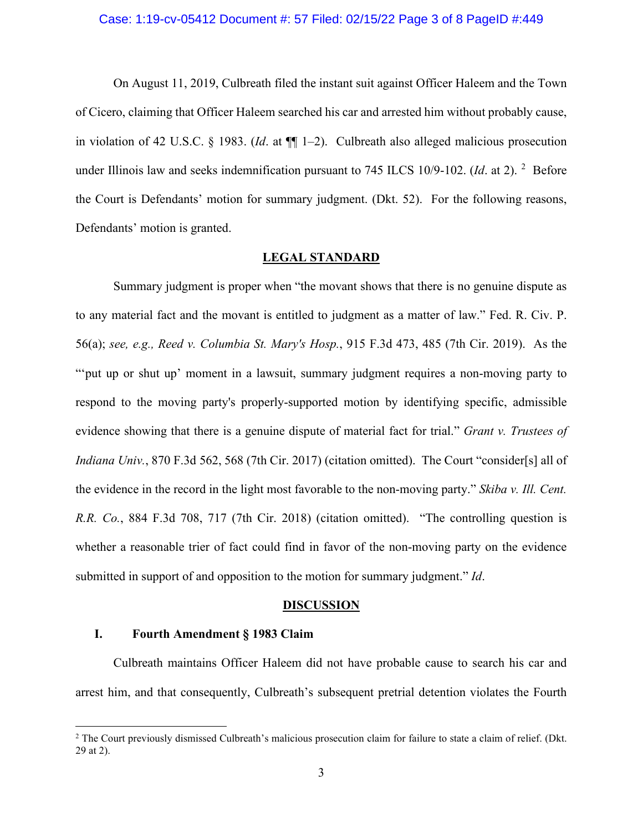### Case: 1:19-cv-05412 Document #: 57 Filed: 02/15/22 Page 3 of 8 PageID #:449

On August 11, 2019, Culbreath filed the instant suit against Officer Haleem and the Town of Cicero, claiming that Officer Haleem searched his car and arrested him without probably cause, in violation of 42 U.S.C. § 1983. (*Id*. at ¶¶ 1–2). Culbreath also alleged malicious prosecution under Illinois law and seeks indemnification pursuant to 745 ILCS 10/9-10[2](#page-2-0). (*Id.* at 2). <sup>2</sup> Before the Court is Defendants' motion for summary judgment. (Dkt. 52). For the following reasons, Defendants' motion is granted.

### **LEGAL STANDARD**

Summary judgment is proper when "the movant shows that there is no genuine dispute as to any material fact and the movant is entitled to judgment as a matter of law." Fed. R. Civ. P. 56(a); *see, e.g., Reed v. Columbia St. Mary's Hosp.*, 915 F.3d 473, 485 (7th Cir. 2019). As the ""put up or shut up' moment in a lawsuit, summary judgment requires a non-moving party to respond to the moving party's properly-supported motion by identifying specific, admissible evidence showing that there is a genuine dispute of material fact for trial." *Grant v. Trustees of Indiana Univ.*, 870 F.3d 562, 568 (7th Cir. 2017) (citation omitted). The Court "consider[s] all of the evidence in the record in the light most favorable to the non-moving party." *Skiba v. Ill. Cent. R.R. Co.*, 884 F.3d 708, 717 (7th Cir. 2018) (citation omitted). "The controlling question is whether a reasonable trier of fact could find in favor of the non-moving party on the evidence submitted in support of and opposition to the motion for summary judgment." *Id*.

#### **DISCUSSION**

### **I. Fourth Amendment § 1983 Claim**

Culbreath maintains Officer Haleem did not have probable cause to search his car and arrest him, and that consequently, Culbreath's subsequent pretrial detention violates the Fourth

<span id="page-2-0"></span><sup>&</sup>lt;sup>2</sup> The Court previously dismissed Culbreath's malicious prosecution claim for failure to state a claim of relief. (Dkt. 29 at 2).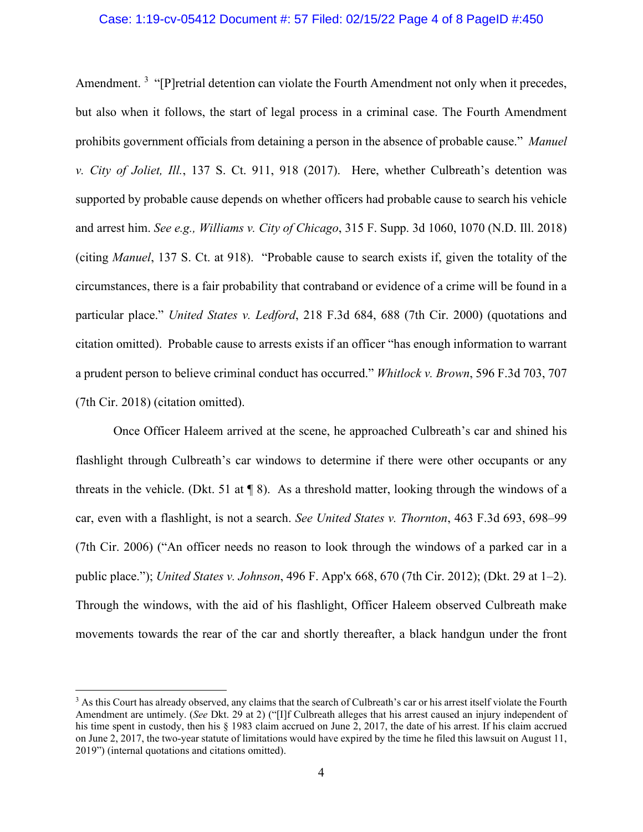### Case: 1:19-cv-05412 Document #: 57 Filed: 02/15/22 Page 4 of 8 PageID #:450

Amendment.<sup>[3](#page-3-0)</sup> "[P]retrial detention can violate the Fourth Amendment not only when it precedes, but also when it follows, the start of legal process in a criminal case. The Fourth Amendment prohibits government officials from detaining a person in the absence of probable cause." *Manuel v. City of Joliet, Ill.*, 137 S. Ct. 911, 918 (2017). Here, whether Culbreath's detention was supported by probable cause depends on whether officers had probable cause to search his vehicle and arrest him. *See e.g., Williams v. City of Chicago*, 315 F. Supp. 3d 1060, 1070 (N.D. Ill. 2018) (citing *Manuel*, 137 S. Ct. at 918)."Probable cause to search exists if, given the totality of the circumstances, there is a fair probability that contraband or evidence of a crime will be found in a particular place." *United States v. Ledford*, 218 F.3d 684, 688 (7th Cir. 2000) (quotations and citation omitted). Probable cause to arrests exists if an officer "has enough information to warrant a prudent person to believe criminal conduct has occurred." *Whitlock v. Brown*, 596 F.3d 703, 707 (7th Cir. 2018) (citation omitted).

Once Officer Haleem arrived at the scene, he approached Culbreath's car and shined his flashlight through Culbreath's car windows to determine if there were other occupants or any threats in the vehicle. (Dkt. 51 at  $\P$  8). As a threshold matter, looking through the windows of a car, even with a flashlight, is not a search. *See United States v. Thornton*, 463 F.3d 693, 698–99 (7th Cir. 2006) ("An officer needs no reason to look through the windows of a parked car in a public place."); *United States v. Johnson*, 496 F. App'x 668, 670 (7th Cir. 2012); (Dkt. 29 at 1–2). Through the windows, with the aid of his flashlight, Officer Haleem observed Culbreath make movements towards the rear of the car and shortly thereafter, a black handgun under the front

<span id="page-3-0"></span><sup>&</sup>lt;sup>3</sup> As this Court has already observed, any claims that the search of Culbreath's car or his arrest itself violate the Fourth Amendment are untimely. (*See* Dkt. 29 at 2) ("[I]f Culbreath alleges that his arrest caused an injury independent of his time spent in custody, then his § 1983 claim accrued on June 2, 2017, the date of his arrest. If his claim accrued on June 2, 2017, the two-year statute of limitations would have expired by the time he filed this lawsuit on August 11, 2019") (internal quotations and citations omitted).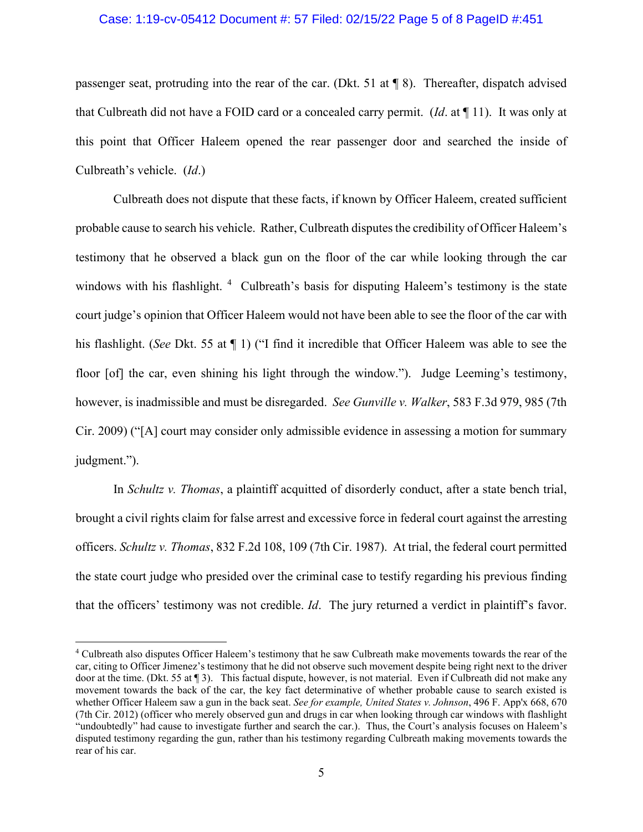# Case: 1:19-cv-05412 Document #: 57 Filed: 02/15/22 Page 5 of 8 PageID #:451

passenger seat, protruding into the rear of the car. (Dkt. 51 at ¶ 8). Thereafter, dispatch advised that Culbreath did not have a FOID card or a concealed carry permit. (*Id*. at ¶ 11). It was only at this point that Officer Haleem opened the rear passenger door and searched the inside of Culbreath's vehicle. (*Id*.)

Culbreath does not dispute that these facts, if known by Officer Haleem, created sufficient probable cause to search his vehicle. Rather, Culbreath disputes the credibility of Officer Haleem's testimony that he observed a black gun on the floor of the car while looking through the car windows with his flashlight. <sup>[4](#page-4-0)</sup> Culbreath's basis for disputing Haleem's testimony is the state court judge's opinion that Officer Haleem would not have been able to see the floor of the car with his flashlight. (*See* Dkt. 55 at ¶ 1) ("I find it incredible that Officer Haleem was able to see the floor [of] the car, even shining his light through the window."). Judge Leeming's testimony, however, is inadmissible and must be disregarded. *See Gunville v. Walker*, 583 F.3d 979, 985 (7th Cir. 2009) ("[A] court may consider only admissible evidence in assessing a motion for summary judgment.").

In *Schultz v. Thomas*, a plaintiff acquitted of disorderly conduct, after a state bench trial, brought a civil rights claim for false arrest and excessive force in federal court against the arresting officers. *Schultz v. Thomas*, 832 F.2d 108, 109 (7th Cir. 1987). At trial, the federal court permitted the state court judge who presided over the criminal case to testify regarding his previous finding that the officers' testimony was not credible. *Id*. The jury returned a verdict in plaintiff's favor.

<span id="page-4-0"></span><sup>4</sup> Culbreath also disputes Officer Haleem's testimony that he saw Culbreath make movements towards the rear of the car, citing to Officer Jimenez's testimony that he did not observe such movement despite being right next to the driver door at the time. (Dkt. 55 at ¶ 3). This factual dispute, however, is not material. Even if Culbreath did not make any movement towards the back of the car, the key fact determinative of whether probable cause to search existed is whether Officer Haleem saw a gun in the back seat. *See for example, United States v. Johnson*, 496 F. App'x 668, 670 (7th Cir. 2012) (officer who merely observed gun and drugs in car when looking through car windows with flashlight "undoubtedly" had cause to investigate further and search the car.). Thus, the Court's analysis focuses on Haleem's disputed testimony regarding the gun, rather than his testimony regarding Culbreath making movements towards the rear of his car.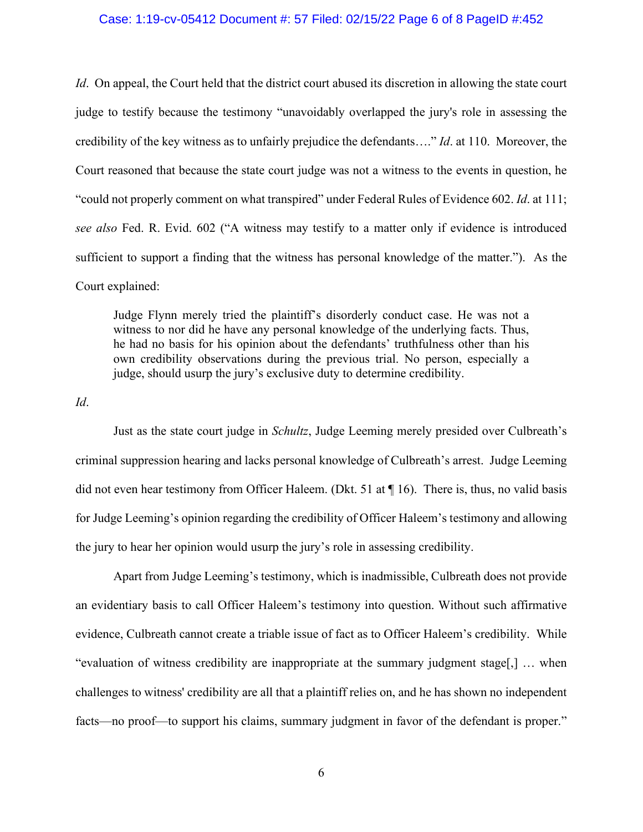# Case: 1:19-cv-05412 Document #: 57 Filed: 02/15/22 Page 6 of 8 PageID #:452

*Id*. On appeal, the Court held that the district court abused its discretion in allowing the state court judge to testify because the testimony "unavoidably overlapped the jury's role in assessing the credibility of the key witness as to unfairly prejudice the defendants…." *Id*. at 110. Moreover, the Court reasoned that because the state court judge was not a witness to the events in question, he "could not properly comment on what transpired" under Federal Rules of Evidence 602. *Id*. at 111; *see also* Fed. R. Evid. 602 ("A witness may testify to a matter only if evidence is introduced sufficient to support a finding that the witness has personal knowledge of the matter."). As the Court explained:

Judge Flynn merely tried the plaintiff's disorderly conduct case. He was not a witness to nor did he have any personal knowledge of the underlying facts. Thus, he had no basis for his opinion about the defendants' truthfulness other than his own credibility observations during the previous trial. No person, especially a judge, should usurp the jury's exclusive duty to determine credibility.

*Id*.

Just as the state court judge in *Schultz*, Judge Leeming merely presided over Culbreath's criminal suppression hearing and lacks personal knowledge of Culbreath's arrest. Judge Leeming did not even hear testimony from Officer Haleem. (Dkt. 51 at ¶ 16). There is, thus, no valid basis for Judge Leeming's opinion regarding the credibility of Officer Haleem's testimony and allowing the jury to hear her opinion would usurp the jury's role in assessing credibility.

Apart from Judge Leeming's testimony, which is inadmissible, Culbreath does not provide an evidentiary basis to call Officer Haleem's testimony into question. Without such affirmative evidence, Culbreath cannot create a triable issue of fact as to Officer Haleem's credibility. While "evaluation of witness credibility are inappropriate at the summary judgment stage[,] … when challenges to witness' credibility are all that a plaintiff relies on, and he has shown no independent facts—no proof—to support his claims, summary judgment in favor of the defendant is proper."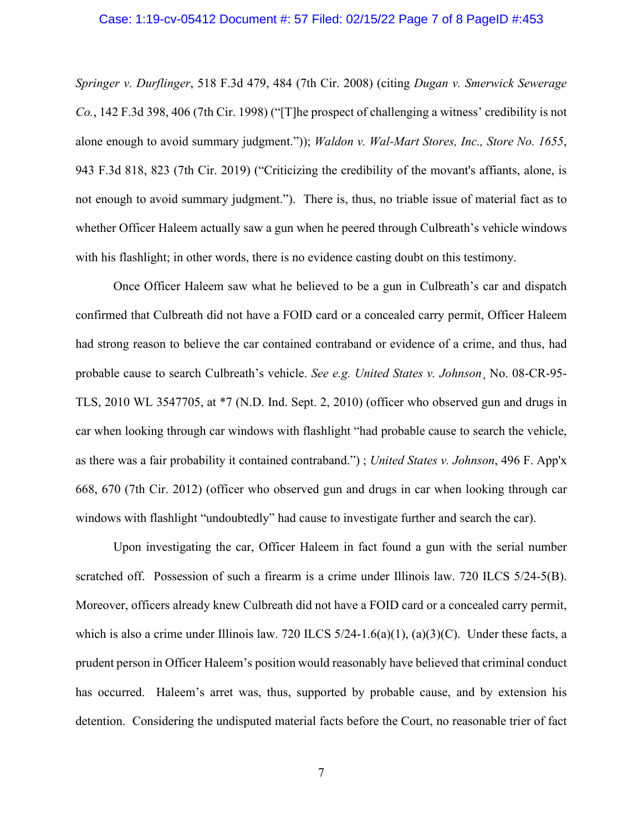#### Case: 1:19-cv-05412 Document #: 57 Filed: 02/15/22 Page 7 of 8 PageID #:453

*Springer v. Durflinger*, 518 F.3d 479, 484 (7th Cir. 2008) (citing *Dugan v. Smerwick Sewerage Co.*, 142 F.3d 398, 406 (7th Cir. 1998) ("[T]he prospect of challenging a witness' credibility is not alone enough to avoid summary judgment.")); *Waldon v. Wal-Mart Stores, Inc., Store No. 1655*, 943 F.3d 818, 823 (7th Cir. 2019) ("Criticizing the credibility of the movant's affiants, alone, is not enough to avoid summary judgment."). There is, thus, no triable issue of material fact as to whether Officer Haleem actually saw a gun when he peered through Culbreath's vehicle windows with his flashlight; in other words, there is no evidence casting doubt on this testimony.

Once Officer Haleem saw what he believed to be a gun in Culbreath's car and dispatch confirmed that Culbreath did not have a FOID card or a concealed carry permit, Officer Haleem had strong reason to believe the car contained contraband or evidence of a crime, and thus, had probable cause to search Culbreath's vehicle. *See e.g. United States v. Johnson*¸ No. 08-CR-95- TLS, 2010 WL 3547705, at \*7 (N.D. Ind. Sept. 2, 2010) (officer who observed gun and drugs in car when looking through car windows with flashlight "had probable cause to search the vehicle, as there was a fair probability it contained contraband.") ; *United States v. Johnson*, 496 F. App'x 668, 670 (7th Cir. 2012) (officer who observed gun and drugs in car when looking through car windows with flashlight "undoubtedly" had cause to investigate further and search the car).

Upon investigating the car, Officer Haleem in fact found a gun with the serial number scratched off. Possession of such a firearm is a crime under Illinois law. 720 ILCS 5/24-5(B). Moreover, officers already knew Culbreath did not have a FOID card or a concealed carry permit, which is also a crime under Illinois law. 720 ILCS  $5/24-1.6(a)(1)$ ,  $(a)(3)(C)$ . Under these facts, a prudent person in Officer Haleem's position would reasonably have believed that criminal conduct has occurred. Haleem's arret was, thus, supported by probable cause, and by extension his detention. Considering the undisputed material facts before the Court, no reasonable trier of fact